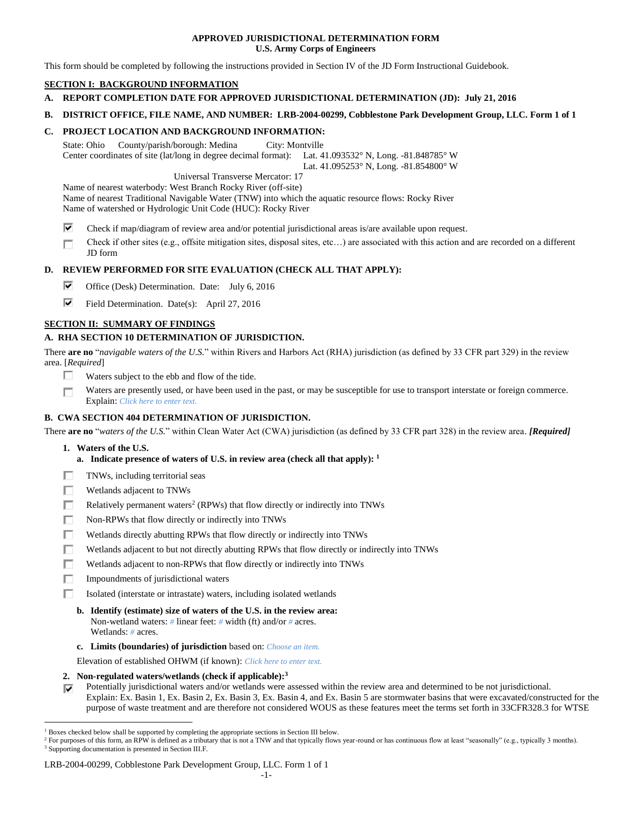## **APPROVED JURISDICTIONAL DETERMINATION FORM U.S. Army Corps of Engineers**

This form should be completed by following the instructions provided in Section IV of the JD Form Instructional Guidebook.

# **SECTION I: BACKGROUND INFORMATION**

- **A. REPORT COMPLETION DATE FOR APPROVED JURISDICTIONAL DETERMINATION (JD): July 21, 2016**
- **B. DISTRICT OFFICE, FILE NAME, AND NUMBER: LRB-2004-00299, Cobblestone Park Development Group, LLC. Form 1 of 1**

## **C. PROJECT LOCATION AND BACKGROUND INFORMATION:**

State: Ohio County/parish/borough: Medina City: Montville Center coordinates of site (lat/long in degree decimal format): Lat. 41.093532° N, Long. -81.848785° W Lat. 41.095253° N, Long. -81.854800° W

Universal Transverse Mercator: 17

Name of nearest waterbody: West Branch Rocky River (off-site) Name of nearest Traditional Navigable Water (TNW) into which the aquatic resource flows: Rocky River Name of watershed or Hydrologic Unit Code (HUC): Rocky River

- ⊽ Check if map/diagram of review area and/or potential jurisdictional areas is/are available upon request.
- Check if other sites (e.g., offsite mitigation sites, disposal sites, etc…) are associated with this action and are recorded on a different П JD form

# **D. REVIEW PERFORMED FOR SITE EVALUATION (CHECK ALL THAT APPLY):**

- ⊽ Office (Desk) Determination. Date: July 6, 2016
- ⊽. Field Determination. Date(s): April 27, 2016

# **SECTION II: SUMMARY OF FINDINGS**

# **A. RHA SECTION 10 DETERMINATION OF JURISDICTION.**

There **are no** "*navigable waters of the U.S.*" within Rivers and Harbors Act (RHA) jurisdiction (as defined by 33 CFR part 329) in the review area. [*Required*]

- п Waters subject to the ebb and flow of the tide.
- Waters are presently used, or have been used in the past, or may be susceptible for use to transport interstate or foreign commerce. П Explain: *Click here to enter text.*

# **B. CWA SECTION 404 DETERMINATION OF JURISDICTION.**

There **are no** "*waters of the U.S.*" within Clean Water Act (CWA) jurisdiction (as defined by 33 CFR part 328) in the review area. *[Required]*

**1. Waters of the U.S.**

 $\overline{a}$ 

- **a. Indicate presence of waters of U.S. in review area (check all that apply): 1**
- п TNWs, including territorial seas
- п Wetlands adjacent to TNWs
- Relatively permanent waters<sup>2</sup> (RPWs) that flow directly or indirectly into TNWs п
- п Non-RPWs that flow directly or indirectly into TNWs
- Wetlands directly abutting RPWs that flow directly or indirectly into TNWs п
- г Wetlands adjacent to but not directly abutting RPWs that flow directly or indirectly into TNWs
- ┍ Wetlands adjacent to non-RPWs that flow directly or indirectly into TNWs
- п Impoundments of jurisdictional waters
- Isolated (interstate or intrastate) waters, including isolated wetlands П.
	- **b. Identify (estimate) size of waters of the U.S. in the review area:** Non-wetland waters: *#* linear feet: *#* width (ft) and/or *#* acres. Wetlands: *#* acres.
	- **c. Limits (boundaries) of jurisdiction** based on: *Choose an item.*

Elevation of established OHWM (if known): *Click here to enter text.*

- **2. Non-regulated waters/wetlands (check if applicable): 3**
- Potentially jurisdictional waters and/or wetlands were assessed within the review area and determined to be not jurisdictional. Explain: Ex. Basin 1, Ex. Basin 2, Ex. Basin 3, Ex. Basin 4, and Ex. Basin 5 are stormwater basins that were excavated/constructed for the purpose of waste treatment and are therefore not considered WOUS as these features meet the terms set forth in 33CFR328.3 for WTSE

## LRB-2004-00299, Cobblestone Park Development Group, LLC. Form 1 of 1

<sup>1</sup> Boxes checked below shall be supported by completing the appropriate sections in Section III below.

<sup>&</sup>lt;sup>2</sup> For purposes of this form, an RPW is defined as a tributary that is not a TNW and that typically flows year-round or has continuous flow at least "seasonally" (e.g., typically 3 months). <sup>3</sup> Supporting documentation is presented in Section III.F.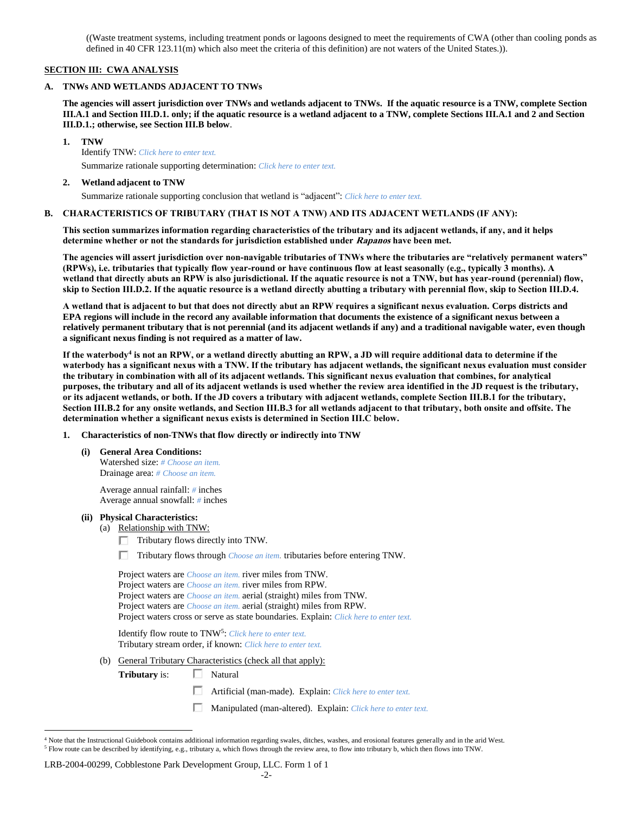((Waste treatment systems, including treatment ponds or lagoons designed to meet the requirements of CWA (other than cooling ponds as defined in 40 CFR 123.11(m) which also meet the criteria of this definition) are not waters of the United States.)).

## **SECTION III: CWA ANALYSIS**

## **A. TNWs AND WETLANDS ADJACENT TO TNWs**

**The agencies will assert jurisdiction over TNWs and wetlands adjacent to TNWs. If the aquatic resource is a TNW, complete Section III.A.1 and Section III.D.1. only; if the aquatic resource is a wetland adjacent to a TNW, complete Sections III.A.1 and 2 and Section III.D.1.; otherwise, see Section III.B below**.

**1. TNW** 

Identify TNW: *Click here to enter text.* Summarize rationale supporting determination: *Click here to enter text.*

## **2. Wetland adjacent to TNW**

Summarize rationale supporting conclusion that wetland is "adjacent": *Click here to enter text.*

## **B. CHARACTERISTICS OF TRIBUTARY (THAT IS NOT A TNW) AND ITS ADJACENT WETLANDS (IF ANY):**

**This section summarizes information regarding characteristics of the tributary and its adjacent wetlands, if any, and it helps determine whether or not the standards for jurisdiction established under Rapanos have been met.** 

**The agencies will assert jurisdiction over non-navigable tributaries of TNWs where the tributaries are "relatively permanent waters" (RPWs), i.e. tributaries that typically flow year-round or have continuous flow at least seasonally (e.g., typically 3 months). A wetland that directly abuts an RPW is also jurisdictional. If the aquatic resource is not a TNW, but has year-round (perennial) flow, skip to Section III.D.2. If the aquatic resource is a wetland directly abutting a tributary with perennial flow, skip to Section III.D.4.**

**A wetland that is adjacent to but that does not directly abut an RPW requires a significant nexus evaluation. Corps districts and EPA regions will include in the record any available information that documents the existence of a significant nexus between a relatively permanent tributary that is not perennial (and its adjacent wetlands if any) and a traditional navigable water, even though a significant nexus finding is not required as a matter of law.**

**If the waterbody<sup>4</sup> is not an RPW, or a wetland directly abutting an RPW, a JD will require additional data to determine if the waterbody has a significant nexus with a TNW. If the tributary has adjacent wetlands, the significant nexus evaluation must consider the tributary in combination with all of its adjacent wetlands. This significant nexus evaluation that combines, for analytical purposes, the tributary and all of its adjacent wetlands is used whether the review area identified in the JD request is the tributary, or its adjacent wetlands, or both. If the JD covers a tributary with adjacent wetlands, complete Section III.B.1 for the tributary, Section III.B.2 for any onsite wetlands, and Section III.B.3 for all wetlands adjacent to that tributary, both onsite and offsite. The determination whether a significant nexus exists is determined in Section III.C below.**

- **1. Characteristics of non-TNWs that flow directly or indirectly into TNW**
	- **(i) General Area Conditions:**

Watershed size: *# Choose an item.* Drainage area: *# Choose an item.*

Average annual rainfall: *#* inches Average annual snowfall: *#* inches

## **(ii) Physical Characteristics:**

- (a) Relationship with TNW:
	- $\Box$  Tributary flows directly into TNW.

Tributary flows through *Choose an item.* tributaries before entering TNW.

Project waters are *Choose an item.* river miles from TNW. Project waters are *Choose an item.* river miles from RPW. Project waters are *Choose an item.* aerial (straight) miles from TNW. Project waters are *Choose an item.* aerial (straight) miles from RPW. Project waters cross or serve as state boundaries. Explain: *Click here to enter text.*

Identify flow route to TNW<sup>5</sup>: Click here to enter text. Tributary stream order, if known: *Click here to enter text.*

- (b) General Tributary Characteristics (check all that apply):
	- **Tributary** is: □ Natural

 $\overline{a}$ 

- Artificial (man-made). Explain: *Click here to enter text.*
- Manipulated (man-altered). Explain: *Click here to enter text.*

#### LRB-2004-00299, Cobblestone Park Development Group, LLC. Form 1 of 1

<sup>&</sup>lt;sup>4</sup> Note that the Instructional Guidebook contains additional information regarding swales, ditches, washes, and erosional features generally and in the arid West. <sup>5</sup> Flow route can be described by identifying, e.g., tributary a, which flows through the review area, to flow into tributary b, which then flows into TNW.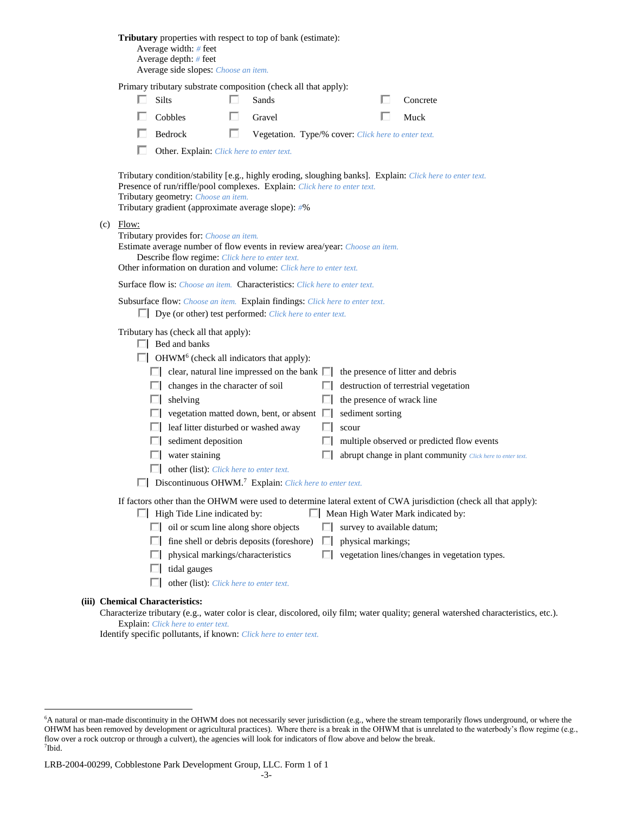| <b>Tributary</b> properties with respect to top of bank (estimate):<br>Average width: # feet<br>Average depth: # feet<br>Average side slopes: Choose an item.                                                                                                                                                                                                                                                                                                                                                                                                                                                                                                                                                                                          |  |  |  |  |
|--------------------------------------------------------------------------------------------------------------------------------------------------------------------------------------------------------------------------------------------------------------------------------------------------------------------------------------------------------------------------------------------------------------------------------------------------------------------------------------------------------------------------------------------------------------------------------------------------------------------------------------------------------------------------------------------------------------------------------------------------------|--|--|--|--|
| Primary tributary substrate composition (check all that apply):<br>Silts<br>Sands<br>Concrete                                                                                                                                                                                                                                                                                                                                                                                                                                                                                                                                                                                                                                                          |  |  |  |  |
| Cobbles<br>Gravel<br>Muck                                                                                                                                                                                                                                                                                                                                                                                                                                                                                                                                                                                                                                                                                                                              |  |  |  |  |
| Bedrock<br>Ш<br>Vegetation. Type/% cover: Click here to enter text.                                                                                                                                                                                                                                                                                                                                                                                                                                                                                                                                                                                                                                                                                    |  |  |  |  |
| Other. Explain: Click here to enter text.                                                                                                                                                                                                                                                                                                                                                                                                                                                                                                                                                                                                                                                                                                              |  |  |  |  |
| Tributary condition/stability [e.g., highly eroding, sloughing banks]. Explain: Click here to enter text.<br>Presence of run/riffle/pool complexes. Explain: Click here to enter text.<br>Tributary geometry: Choose an item.<br>Tributary gradient (approximate average slope): #%                                                                                                                                                                                                                                                                                                                                                                                                                                                                    |  |  |  |  |
| $(c)$ Flow:<br>Tributary provides for: Choose an item.<br>Estimate average number of flow events in review area/year: Choose an item.<br>Describe flow regime: Click here to enter text.<br>Other information on duration and volume: Click here to enter text.                                                                                                                                                                                                                                                                                                                                                                                                                                                                                        |  |  |  |  |
| <b>Surface flow is:</b> <i>Choose an item.</i> <b>Characteristics:</b> <i>Click here to enter text.</i>                                                                                                                                                                                                                                                                                                                                                                                                                                                                                                                                                                                                                                                |  |  |  |  |
| Subsurface flow: Choose an item. Explain findings: Click here to enter text.<br>$\Box$ Dye (or other) test performed: <i>Click here to enter text.</i>                                                                                                                                                                                                                                                                                                                                                                                                                                                                                                                                                                                                 |  |  |  |  |
| Tributary has (check all that apply):<br>$\Box$ Bed and banks<br>$\Box$ OHWM <sup>6</sup> (check all indicators that apply):<br>clear, natural line impressed on the bank $\Box$<br>the presence of litter and debris<br>changes in the character of soil<br>destruction of terrestrial vegetation<br>the presence of wrack line<br>shelving<br>H<br>vegetation matted down, bent, or absent $\Box$<br>sediment sorting<br>leaf litter disturbed or washed away<br>scour<br>sediment deposition<br>multiple observed or predicted flow events<br>water staining<br>abrupt change in plant community Click here to enter text.<br>other (list): Click here to enter text.<br>$\Box$ Discontinuous OHWM. <sup>7</sup> Explain: Click here to enter text. |  |  |  |  |
| If factors other than the OHWM were used to determine lateral extent of CWA jurisdiction (check all that apply):<br>$\Box$ High Tide Line indicated by:<br>Mean High Water Mark indicated by:<br>oil or scum line along shore objects<br>survey to available datum;<br>L.<br>fine shell or debris deposits (foreshore)<br>physical markings;<br>ш<br>ш<br>vegetation lines/changes in vegetation types.<br>physical markings/characteristics<br>ш<br>tidal gauges<br>other (list): Click here to enter text.                                                                                                                                                                                                                                           |  |  |  |  |
| (iii) Chemical Characteristics:<br>$Chorotaria tributory (a a, water color is clear diecolored, oily film; water quality, general waterabad characteristics$                                                                                                                                                                                                                                                                                                                                                                                                                                                                                                                                                                                           |  |  |  |  |

Characterize tributary (e.g., water color is clear, discolored, oily film; water quality; general watershed characteristics, etc.). Explain: *Click here to enter text.*

Identify specific pollutants, if known: *Click here to enter text.*

 $\overline{a}$ 

<sup>6</sup>A natural or man-made discontinuity in the OHWM does not necessarily sever jurisdiction (e.g., where the stream temporarily flows underground, or where the OHWM has been removed by development or agricultural practices). Where there is a break in the OHWM that is unrelated to the waterbody's flow regime (e.g., flow over a rock outcrop or through a culvert), the agencies will look for indicators of flow above and below the break. 7 Ibid.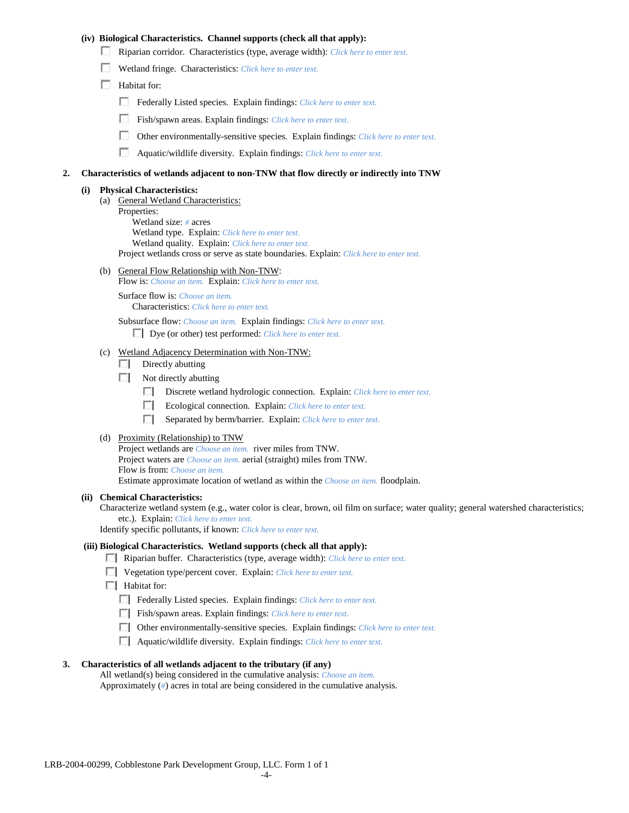## **(iv) Biological Characteristics. Channel supports (check all that apply):**

- Riparian corridor. Characteristics (type, average width): *Click here to enter text.*
- Wetland fringe. Characteristics: *Click here to enter text.*
- $\Box$  Habitat for:
	- Federally Listed species. Explain findings: *Click here to enter text.*
	- Fish/spawn areas. Explain findings: *Click here to enter text.*
	- Other environmentally-sensitive species. Explain findings: *Click here to enter text.*
	- Aquatic/wildlife diversity. Explain findings: *Click here to enter text.*

#### **2. Characteristics of wetlands adjacent to non-TNW that flow directly or indirectly into TNW**

#### **(i) Physical Characteristics:**

- (a) General Wetland Characteristics:
	- Properties:

Wetland size: *#* acres Wetland type. Explain: *Click here to enter text.*

Wetland quality. Explain: *Click here to enter text.*

Project wetlands cross or serve as state boundaries. Explain: *Click here to enter text.*

(b) General Flow Relationship with Non-TNW: Flow is: *Choose an item.* Explain: *Click here to enter text.*

Surface flow is: *Choose an item.* Characteristics: *Click here to enter text.*

Subsurface flow: *Choose an item.* Explain findings: *Click here to enter text.*

Dye (or other) test performed: *Click here to enter text.*

#### (c) Wetland Adjacency Determination with Non-TNW:

- $\Box$  Directly abutting
- Not directly abutting
	- Discrete wetland hydrologic connection. Explain: *Click here to enter text.*
	- $\Box$ Ecological connection. Explain: *Click here to enter text.*
	- $\Box$ Separated by berm/barrier. Explain: *Click here to enter text.*
- (d) Proximity (Relationship) to TNW

Project wetlands are *Choose an item.* river miles from TNW. Project waters are *Choose an item.* aerial (straight) miles from TNW. Flow is from: *Choose an item.* Estimate approximate location of wetland as within the *Choose an item.* floodplain.

#### **(ii) Chemical Characteristics:**

Characterize wetland system (e.g., water color is clear, brown, oil film on surface; water quality; general watershed characteristics; etc.). Explain: *Click here to enter text.*

Identify specific pollutants, if known: *Click here to enter text.*

### **(iii) Biological Characteristics. Wetland supports (check all that apply):**

- Riparian buffer. Characteristics (type, average width): *Click here to enter text.*
- Vegetation type/percent cover. Explain: *Click here to enter text.*
- **Habitat for:** 
	- Federally Listed species. Explain findings: *Click here to enter text*.
	- Fish/spawn areas. Explain findings: *Click here to enter text*.
	- Other environmentally-sensitive species. Explain findings: *Click here to enter text.*
	- Aquatic/wildlife diversity. Explain findings: *Click here to enter text.*

#### **3. Characteristics of all wetlands adjacent to the tributary (if any)**

All wetland(s) being considered in the cumulative analysis: *Choose an item.* Approximately (*#*) acres in total are being considered in the cumulative analysis.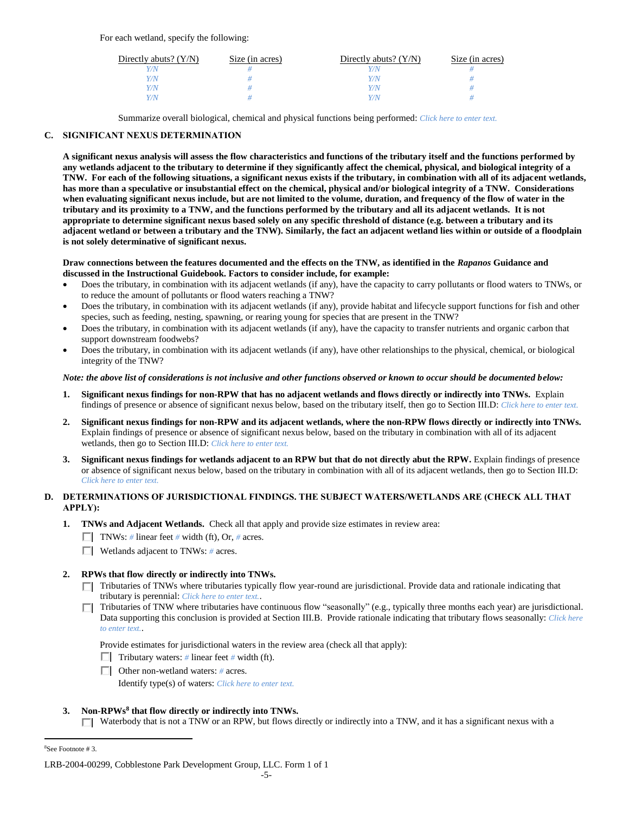For each wetland, specify the following:

| Directly abuts? $(Y/N)$ | Size (in acres) | Directly abuts? $(Y/N)$ | Size (in acres) |
|-------------------------|-----------------|-------------------------|-----------------|
|                         |                 |                         |                 |
| Y/N                     |                 | Y/N                     |                 |
| V/N                     |                 | Y/N                     |                 |
|                         |                 | 77N                     |                 |

Summarize overall biological, chemical and physical functions being performed: *Click here to enter text.*

## **C. SIGNIFICANT NEXUS DETERMINATION**

**A significant nexus analysis will assess the flow characteristics and functions of the tributary itself and the functions performed by any wetlands adjacent to the tributary to determine if they significantly affect the chemical, physical, and biological integrity of a TNW. For each of the following situations, a significant nexus exists if the tributary, in combination with all of its adjacent wetlands, has more than a speculative or insubstantial effect on the chemical, physical and/or biological integrity of a TNW. Considerations when evaluating significant nexus include, but are not limited to the volume, duration, and frequency of the flow of water in the tributary and its proximity to a TNW, and the functions performed by the tributary and all its adjacent wetlands. It is not appropriate to determine significant nexus based solely on any specific threshold of distance (e.g. between a tributary and its adjacent wetland or between a tributary and the TNW). Similarly, the fact an adjacent wetland lies within or outside of a floodplain is not solely determinative of significant nexus.** 

## **Draw connections between the features documented and the effects on the TNW, as identified in the** *Rapanos* **Guidance and discussed in the Instructional Guidebook. Factors to consider include, for example:**

- Does the tributary, in combination with its adjacent wetlands (if any), have the capacity to carry pollutants or flood waters to TNWs, or to reduce the amount of pollutants or flood waters reaching a TNW?
- Does the tributary, in combination with its adjacent wetlands (if any), provide habitat and lifecycle support functions for fish and other species, such as feeding, nesting, spawning, or rearing young for species that are present in the TNW?
- Does the tributary, in combination with its adjacent wetlands (if any), have the capacity to transfer nutrients and organic carbon that support downstream foodwebs?
- Does the tributary, in combination with its adjacent wetlands (if any), have other relationships to the physical, chemical, or biological integrity of the TNW?

## *Note: the above list of considerations is not inclusive and other functions observed or known to occur should be documented below:*

- **1. Significant nexus findings for non-RPW that has no adjacent wetlands and flows directly or indirectly into TNWs.** Explain findings of presence or absence of significant nexus below, based on the tributary itself, then go to Section III.D: *Click here to enter text.*
- **2. Significant nexus findings for non-RPW and its adjacent wetlands, where the non-RPW flows directly or indirectly into TNWs.**  Explain findings of presence or absence of significant nexus below, based on the tributary in combination with all of its adjacent wetlands, then go to Section III.D: *Click here to enter text.*
- **3. Significant nexus findings for wetlands adjacent to an RPW but that do not directly abut the RPW.** Explain findings of presence or absence of significant nexus below, based on the tributary in combination with all of its adjacent wetlands, then go to Section III.D: *Click here to enter text.*

## **D. DETERMINATIONS OF JURISDICTIONAL FINDINGS. THE SUBJECT WATERS/WETLANDS ARE (CHECK ALL THAT APPLY):**

- **1. TNWs and Adjacent Wetlands.** Check all that apply and provide size estimates in review area:
	- TNWs: *#* linear feet *#* width (ft), Or, *#* acres.
	- Wetlands adjacent to TNWs: *#* acres.
- **2. RPWs that flow directly or indirectly into TNWs.**
	- Tributaries of TNWs where tributaries typically flow year-round are jurisdictional. Provide data and rationale indicating that tributary is perennial: *Click here to enter text.*.
	- Tributaries of TNW where tributaries have continuous flow "seasonally" (e.g., typically three months each year) are jurisdictional. П. Data supporting this conclusion is provided at Section III.B. Provide rationale indicating that tributary flows seasonally: *Click here to enter text.*.

Provide estimates for jurisdictional waters in the review area (check all that apply):

- **Tributary waters:** # linear feet # width (ft).
- Other non-wetland waters: *#* acres.

Identify type(s) of waters: *Click here to enter text.*

## **3. Non-RPWs<sup>8</sup> that flow directly or indirectly into TNWs.**

 $\Box$  Waterbody that is not a TNW or an RPW, but flows directly or indirectly into a TNW, and it has a significant nexus with a

 $\overline{a}$ 

<sup>8</sup>See Footnote # 3.

LRB-2004-00299, Cobblestone Park Development Group, LLC. Form 1 of 1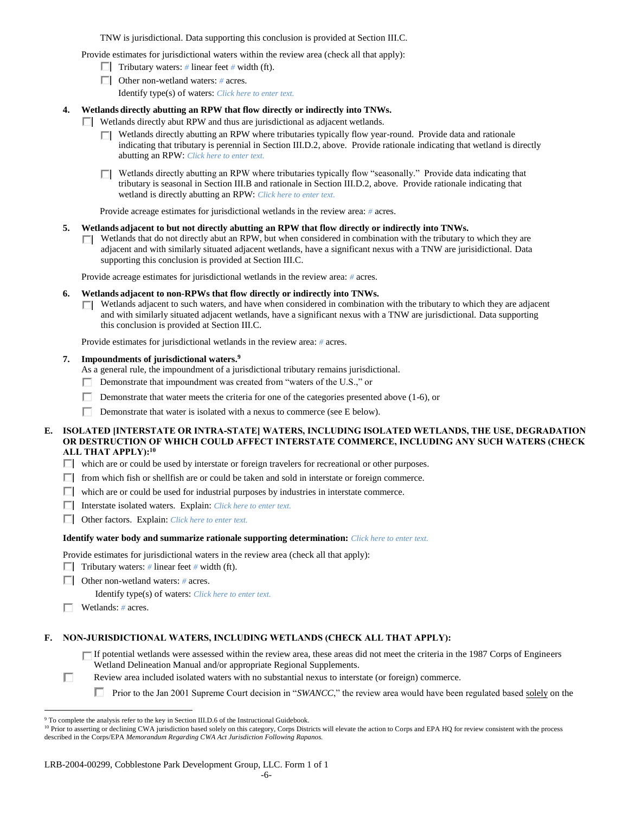TNW is jurisdictional. Data supporting this conclusion is provided at Section III.C.

Provide estimates for jurisdictional waters within the review area (check all that apply):

- Tributary waters: # linear feet # width (ft).
- Other non-wetland waters: *#* acres.

Identify type(s) of waters: *Click here to enter text.*

## **4. Wetlands directly abutting an RPW that flow directly or indirectly into TNWs.**

- **Netlands directly abut RPW and thus are jurisdictional as adjacent wetlands.** 
	- $\Box$  Wetlands directly abutting an RPW where tributaries typically flow year-round. Provide data and rationale indicating that tributary is perennial in Section III.D.2, above. Provide rationale indicating that wetland is directly abutting an RPW: *Click here to enter text.*

 $\Box$  Wetlands directly abutting an RPW where tributaries typically flow "seasonally." Provide data indicating that tributary is seasonal in Section III.B and rationale in Section III.D.2, above. Provide rationale indicating that wetland is directly abutting an RPW: *Click here to enter text.*

Provide acreage estimates for jurisdictional wetlands in the review area: *#* acres.

## **5. Wetlands adjacent to but not directly abutting an RPW that flow directly or indirectly into TNWs.**

 $\Box$  Wetlands that do not directly abut an RPW, but when considered in combination with the tributary to which they are adjacent and with similarly situated adjacent wetlands, have a significant nexus with a TNW are jurisidictional. Data supporting this conclusion is provided at Section III.C.

Provide acreage estimates for jurisdictional wetlands in the review area: *#* acres.

## **6. Wetlands adjacent to non-RPWs that flow directly or indirectly into TNWs.**

Wetlands adjacent to such waters, and have when considered in combination with the tributary to which they are adjacent П. and with similarly situated adjacent wetlands, have a significant nexus with a TNW are jurisdictional. Data supporting this conclusion is provided at Section III.C.

Provide estimates for jurisdictional wetlands in the review area: *#* acres.

## **7. Impoundments of jurisdictional waters. 9**

- As a general rule, the impoundment of a jurisdictional tributary remains jurisdictional.
- Demonstrate that impoundment was created from "waters of the U.S.," or
- П. Demonstrate that water meets the criteria for one of the categories presented above (1-6), or
- Demonstrate that water is isolated with a nexus to commerce (see E below).

## **E. ISOLATED [INTERSTATE OR INTRA-STATE] WATERS, INCLUDING ISOLATED WETLANDS, THE USE, DEGRADATION OR DESTRUCTION OF WHICH COULD AFFECT INTERSTATE COMMERCE, INCLUDING ANY SUCH WATERS (CHECK ALL THAT APPLY):<sup>10</sup>**

which are or could be used by interstate or foreign travelers for recreational or other purposes.

- $\Box$  from which fish or shellfish are or could be taken and sold in interstate or foreign commerce.
- which are or could be used for industrial purposes by industries in interstate commerce.
- Interstate isolated waters.Explain: *Click here to enter text.*
- Other factors.Explain: *Click here to enter text.*

## **Identify water body and summarize rationale supporting determination:** *Click here to enter text.*

Provide estimates for jurisdictional waters in the review area (check all that apply):

- **Tributary waters:** # linear feet # width (ft).
- Other non-wetland waters: *#* acres.

Identify type(s) of waters: *Click here to enter text.*

Wetlands: *#* acres.

 $\overline{a}$ 

## **F. NON-JURISDICTIONAL WATERS, INCLUDING WETLANDS (CHECK ALL THAT APPLY):**

- If potential wetlands were assessed within the review area, these areas did not meet the criteria in the 1987 Corps of Engineers Wetland Delineation Manual and/or appropriate Regional Supplements.
- П Review area included isolated waters with no substantial nexus to interstate (or foreign) commerce.
	- **Prior to the Jan 2001 Supreme Court decision in "***SWANCC*," the review area would have been regulated based solely on the

<sup>&</sup>lt;sup>9</sup> To complete the analysis refer to the key in Section III.D.6 of the Instructional Guidebook.

<sup>&</sup>lt;sup>10</sup> Prior to asserting or declining CWA jurisdiction based solely on this category, Corps Districts will elevate the action to Corps and EPA HQ for review consistent with the process described in the Corps/EPA *Memorandum Regarding CWA Act Jurisdiction Following Rapanos.*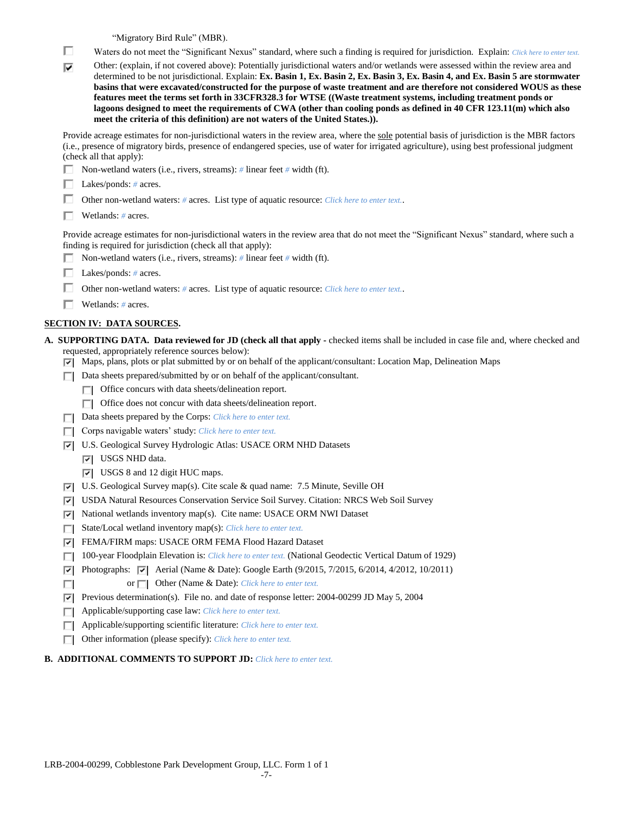"Migratory Bird Rule" (MBR).

- П Waters do not meet the "Significant Nexus" standard, where such a finding is required for jurisdiction. Explain: *Click here to enter text.*
- Other: (explain, if not covered above): Potentially jurisdictional waters and/or wetlands were assessed within the review area and ⊽ determined to be not jurisdictional. Explain: **Ex. Basin 1, Ex. Basin 2, Ex. Basin 3, Ex. Basin 4, and Ex. Basin 5 are stormwater basins that were excavated/constructed for the purpose of waste treatment and are therefore not considered WOUS as these features meet the terms set forth in 33CFR328.3 for WTSE ((Waste treatment systems, including treatment ponds or lagoons designed to meet the requirements of CWA (other than cooling ponds as defined in 40 CFR 123.11(m) which also meet the criteria of this definition) are not waters of the United States.)).**

Provide acreage estimates for non-jurisdictional waters in the review area, where the sole potential basis of jurisdiction is the MBR factors (i.e., presence of migratory birds, presence of endangered species, use of water for irrigated agriculture), using best professional judgment (check all that apply):

Non-wetland waters (i.e., rivers, streams): *#* linear feet *#* width (ft).

Lakes/ponds: *#* acres.

П. Other non-wetland waters: *#* acres. List type of aquatic resource: *Click here to enter text.*.

П. Wetlands: *#* acres.

Provide acreage estimates for non-jurisdictional waters in the review area that do not meet the "Significant Nexus" standard, where such a finding is required for jurisdiction (check all that apply):

- Non-wetland waters (i.e., rivers, streams): *#* linear feet *#* width (ft).
- Lakes/ponds: *#* acres.
- Other non-wetland waters: *#* acres. List type of aquatic resource: *Click here to enter text.*.
- Wetlands: *#* acres.

## **SECTION IV: DATA SOURCES.**

**A. SUPPORTING DATA. Data reviewed for JD (check all that apply -** checked items shall be included in case file and, where checked and requested, appropriately reference sources below):

- $\nabla$  Maps, plans, plots or plat submitted by or on behalf of the applicant/consultant: Location Map, Delineation Maps
- Data sheets prepared/submitted by or on behalf of the applicant/consultant.
	- $\Box$  Office concurs with data sheets/delineation report.
	- $\Box$  Office does not concur with data sheets/delineation report.
- □ Data sheets prepared by the Corps: *Click here to enter text*.
- Corps navigable waters' study: *Click here to enter text.*
- U.S. Geological Survey Hydrologic Atlas: USACE ORM NHD Datasets
	- **V** USGS NHD data.

П

- USGS 8 and 12 digit HUC maps.
- U.S. Geological Survey map(s). Cite scale & quad name: 7.5 Minute, Seville OH
- USDA Natural Resources Conservation Service Soil Survey. Citation: NRCS Web Soil Survey
- $|\nabla|$  National wetlands inventory map(s). Cite name: USACE ORM NWI Dataset
- State/Local wetland inventory map(s): *Click here to enter text.*
- FEMA/FIRM maps: USACE ORM FEMA Flood Hazard Dataset
- 100-year Floodplain Elevation is: *Click here to enter text.* (National Geodectic Vertical Datum of 1929)
- **Photographs:**  $\triangledown$  Aerial (Name & Date): Google Earth (9/2015, 7/2015, 6/2014, 4/2012, 10/2011)
	- or  $\Box$  Other (Name & Date): *Click here to enter text.*
- Previous determination(s). File no. and date of response letter: 2004-00299 JD May 5, 2004
- Applicable/supporting case law: *Click here to enter text.*
- Applicable/supporting scientific literature: *Click here to enter text.*
- Other information (please specify): *Click here to enter text.*
- **B. ADDITIONAL COMMENTS TO SUPPORT JD:** *Click here to enter text.*